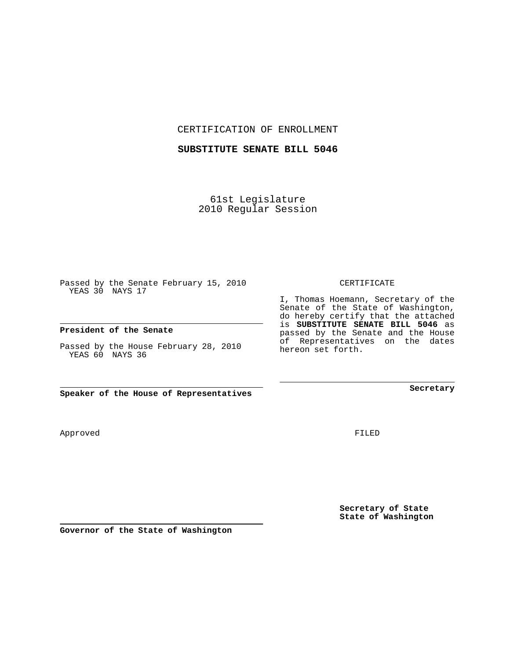CERTIFICATION OF ENROLLMENT

#### **SUBSTITUTE SENATE BILL 5046**

61st Legislature 2010 Regular Session

Passed by the Senate February 15, 2010 YEAS 30 NAYS 17

#### **President of the Senate**

Passed by the House February 28, 2010 YEAS 60 NAYS 36

**Speaker of the House of Representatives**

Approved

FILED

**Secretary of State State of Washington**

**Governor of the State of Washington**

### CERTIFICATE

I, Thomas Hoemann, Secretary of the Senate of the State of Washington, do hereby certify that the attached is **SUBSTITUTE SENATE BILL 5046** as passed by the Senate and the House of Representatives on the dates hereon set forth.

**Secretary**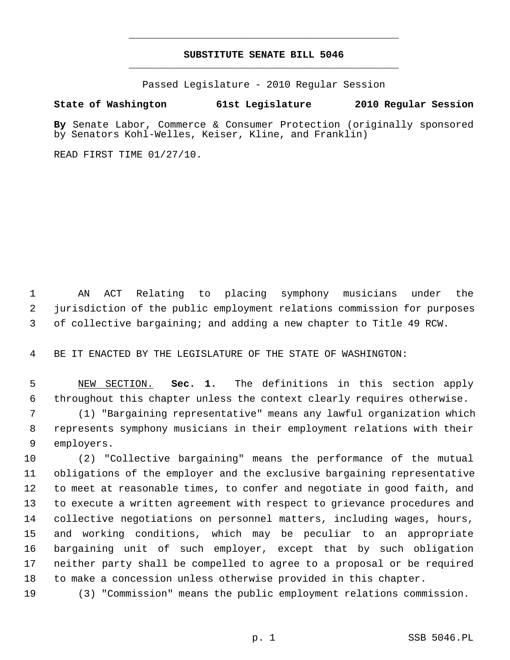# **SUBSTITUTE SENATE BILL 5046** \_\_\_\_\_\_\_\_\_\_\_\_\_\_\_\_\_\_\_\_\_\_\_\_\_\_\_\_\_\_\_\_\_\_\_\_\_\_\_\_\_\_\_\_\_

\_\_\_\_\_\_\_\_\_\_\_\_\_\_\_\_\_\_\_\_\_\_\_\_\_\_\_\_\_\_\_\_\_\_\_\_\_\_\_\_\_\_\_\_\_

Passed Legislature - 2010 Regular Session

## **State of Washington 61st Legislature 2010 Regular Session**

**By** Senate Labor, Commerce & Consumer Protection (originally sponsored by Senators Kohl-Welles, Keiser, Kline, and Franklin)

READ FIRST TIME 01/27/10.

 1 AN ACT Relating to placing symphony musicians under the 2 jurisdiction of the public employment relations commission for purposes 3 of collective bargaining; and adding a new chapter to Title 49 RCW.

4 BE IT ENACTED BY THE LEGISLATURE OF THE STATE OF WASHINGTON:

 5 NEW SECTION. **Sec. 1.** The definitions in this section apply 6 throughout this chapter unless the context clearly requires otherwise.

 7 (1) "Bargaining representative" means any lawful organization which 8 represents symphony musicians in their employment relations with their 9 employers.

10 (2) "Collective bargaining" means the performance of the mutual 11 obligations of the employer and the exclusive bargaining representative 12 to meet at reasonable times, to confer and negotiate in good faith, and 13 to execute a written agreement with respect to grievance procedures and 14 collective negotiations on personnel matters, including wages, hours, 15 and working conditions, which may be peculiar to an appropriate 16 bargaining unit of such employer, except that by such obligation 17 neither party shall be compelled to agree to a proposal or be required 18 to make a concession unless otherwise provided in this chapter.

19 (3) "Commission" means the public employment relations commission.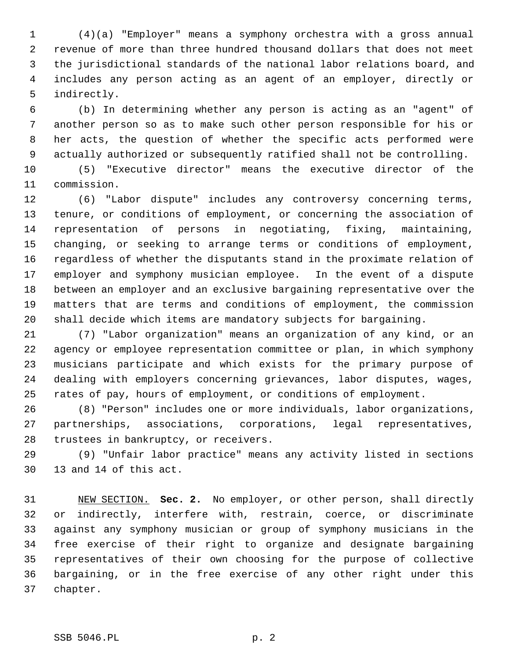1 (4)(a) "Employer" means a symphony orchestra with a gross annual 2 revenue of more than three hundred thousand dollars that does not meet 3 the jurisdictional standards of the national labor relations board, and 4 includes any person acting as an agent of an employer, directly or 5 indirectly.

 6 (b) In determining whether any person is acting as an "agent" of 7 another person so as to make such other person responsible for his or 8 her acts, the question of whether the specific acts performed were 9 actually authorized or subsequently ratified shall not be controlling.

10 (5) "Executive director" means the executive director of the 11 commission.

12 (6) "Labor dispute" includes any controversy concerning terms, 13 tenure, or conditions of employment, or concerning the association of 14 representation of persons in negotiating, fixing, maintaining, 15 changing, or seeking to arrange terms or conditions of employment, 16 regardless of whether the disputants stand in the proximate relation of 17 employer and symphony musician employee. In the event of a dispute 18 between an employer and an exclusive bargaining representative over the 19 matters that are terms and conditions of employment, the commission 20 shall decide which items are mandatory subjects for bargaining.

21 (7) "Labor organization" means an organization of any kind, or an 22 agency or employee representation committee or plan, in which symphony 23 musicians participate and which exists for the primary purpose of 24 dealing with employers concerning grievances, labor disputes, wages, 25 rates of pay, hours of employment, or conditions of employment.

26 (8) "Person" includes one or more individuals, labor organizations, 27 partnerships, associations, corporations, legal representatives, 28 trustees in bankruptcy, or receivers.

29 (9) "Unfair labor practice" means any activity listed in sections 30 13 and 14 of this act.

31 NEW SECTION. **Sec. 2.** No employer, or other person, shall directly 32 or indirectly, interfere with, restrain, coerce, or discriminate 33 against any symphony musician or group of symphony musicians in the 34 free exercise of their right to organize and designate bargaining 35 representatives of their own choosing for the purpose of collective 36 bargaining, or in the free exercise of any other right under this 37 chapter.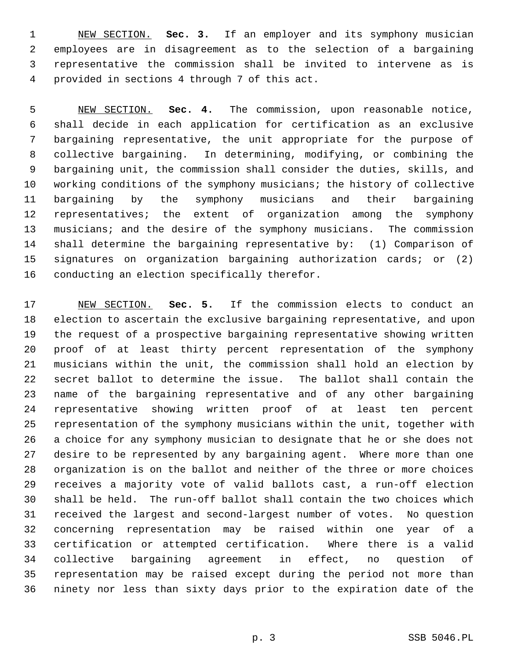1 NEW SECTION. **Sec. 3.** If an employer and its symphony musician 2 employees are in disagreement as to the selection of a bargaining 3 representative the commission shall be invited to intervene as is 4 provided in sections 4 through 7 of this act.

 5 NEW SECTION. **Sec. 4.** The commission, upon reasonable notice, 6 shall decide in each application for certification as an exclusive 7 bargaining representative, the unit appropriate for the purpose of 8 collective bargaining. In determining, modifying, or combining the 9 bargaining unit, the commission shall consider the duties, skills, and 10 working conditions of the symphony musicians; the history of collective 11 bargaining by the symphony musicians and their bargaining 12 representatives; the extent of organization among the symphony 13 musicians; and the desire of the symphony musicians. The commission 14 shall determine the bargaining representative by: (1) Comparison of 15 signatures on organization bargaining authorization cards; or (2) 16 conducting an election specifically therefor.

17 NEW SECTION. **Sec. 5.** If the commission elects to conduct an 18 election to ascertain the exclusive bargaining representative, and upon 19 the request of a prospective bargaining representative showing written 20 proof of at least thirty percent representation of the symphony 21 musicians within the unit, the commission shall hold an election by 22 secret ballot to determine the issue. The ballot shall contain the 23 name of the bargaining representative and of any other bargaining 24 representative showing written proof of at least ten percent 25 representation of the symphony musicians within the unit, together with 26 a choice for any symphony musician to designate that he or she does not 27 desire to be represented by any bargaining agent. Where more than one 28 organization is on the ballot and neither of the three or more choices 29 receives a majority vote of valid ballots cast, a run-off election 30 shall be held. The run-off ballot shall contain the two choices which 31 received the largest and second-largest number of votes. No question 32 concerning representation may be raised within one year of a 33 certification or attempted certification. Where there is a valid 34 collective bargaining agreement in effect, no question of 35 representation may be raised except during the period not more than 36 ninety nor less than sixty days prior to the expiration date of the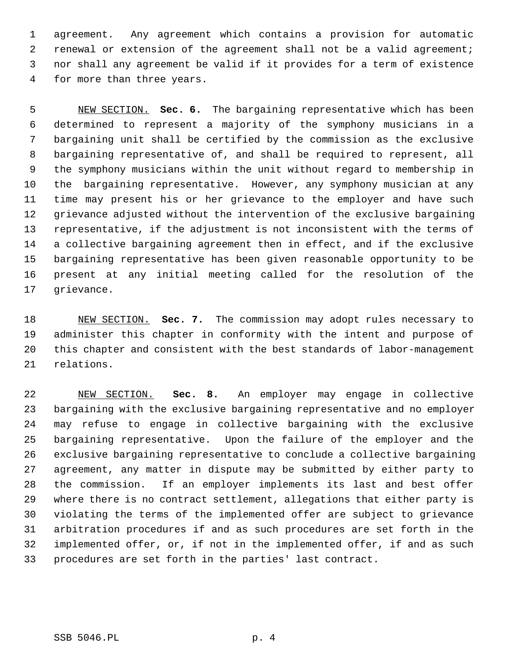1 agreement. Any agreement which contains a provision for automatic 2 renewal or extension of the agreement shall not be a valid agreement; 3 nor shall any agreement be valid if it provides for a term of existence 4 for more than three years.

 5 NEW SECTION. **Sec. 6.** The bargaining representative which has been 6 determined to represent a majority of the symphony musicians in a 7 bargaining unit shall be certified by the commission as the exclusive 8 bargaining representative of, and shall be required to represent, all 9 the symphony musicians within the unit without regard to membership in 10 the bargaining representative. However, any symphony musician at any 11 time may present his or her grievance to the employer and have such 12 grievance adjusted without the intervention of the exclusive bargaining 13 representative, if the adjustment is not inconsistent with the terms of 14 a collective bargaining agreement then in effect, and if the exclusive 15 bargaining representative has been given reasonable opportunity to be 16 present at any initial meeting called for the resolution of the 17 grievance.

18 NEW SECTION. **Sec. 7.** The commission may adopt rules necessary to 19 administer this chapter in conformity with the intent and purpose of 20 this chapter and consistent with the best standards of labor-management 21 relations.

22 NEW SECTION. **Sec. 8.** An employer may engage in collective 23 bargaining with the exclusive bargaining representative and no employer 24 may refuse to engage in collective bargaining with the exclusive 25 bargaining representative. Upon the failure of the employer and the 26 exclusive bargaining representative to conclude a collective bargaining 27 agreement, any matter in dispute may be submitted by either party to 28 the commission. If an employer implements its last and best offer 29 where there is no contract settlement, allegations that either party is 30 violating the terms of the implemented offer are subject to grievance 31 arbitration procedures if and as such procedures are set forth in the 32 implemented offer, or, if not in the implemented offer, if and as such 33 procedures are set forth in the parties' last contract.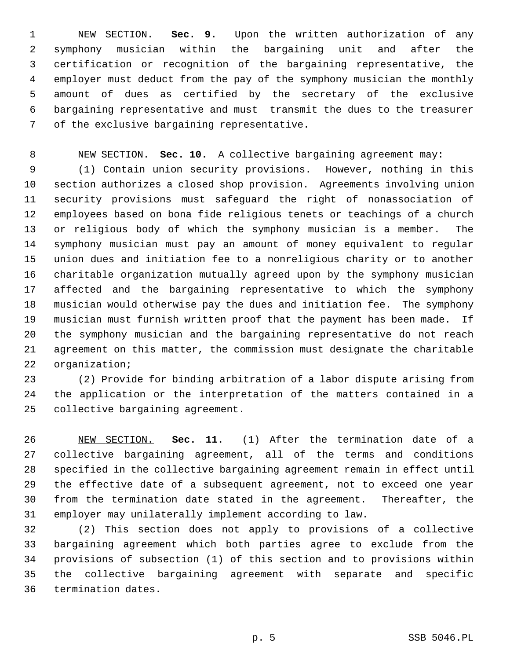1 NEW SECTION. **Sec. 9.** Upon the written authorization of any 2 symphony musician within the bargaining unit and after the 3 certification or recognition of the bargaining representative, the 4 employer must deduct from the pay of the symphony musician the monthly 5 amount of dues as certified by the secretary of the exclusive 6 bargaining representative and must transmit the dues to the treasurer 7 of the exclusive bargaining representative.

8 NEW SECTION. **Sec. 10.** A collective bargaining agreement may:

 9 (1) Contain union security provisions. However, nothing in this 10 section authorizes a closed shop provision. Agreements involving union 11 security provisions must safeguard the right of nonassociation of 12 employees based on bona fide religious tenets or teachings of a church 13 or religious body of which the symphony musician is a member. The 14 symphony musician must pay an amount of money equivalent to regular 15 union dues and initiation fee to a nonreligious charity or to another 16 charitable organization mutually agreed upon by the symphony musician 17 affected and the bargaining representative to which the symphony 18 musician would otherwise pay the dues and initiation fee. The symphony 19 musician must furnish written proof that the payment has been made. If 20 the symphony musician and the bargaining representative do not reach 21 agreement on this matter, the commission must designate the charitable 22 organization;

23 (2) Provide for binding arbitration of a labor dispute arising from 24 the application or the interpretation of the matters contained in a 25 collective bargaining agreement.

26 NEW SECTION. **Sec. 11.** (1) After the termination date of a 27 collective bargaining agreement, all of the terms and conditions 28 specified in the collective bargaining agreement remain in effect until 29 the effective date of a subsequent agreement, not to exceed one year 30 from the termination date stated in the agreement. Thereafter, the 31 employer may unilaterally implement according to law.

32 (2) This section does not apply to provisions of a collective 33 bargaining agreement which both parties agree to exclude from the 34 provisions of subsection (1) of this section and to provisions within 35 the collective bargaining agreement with separate and specific 36 termination dates.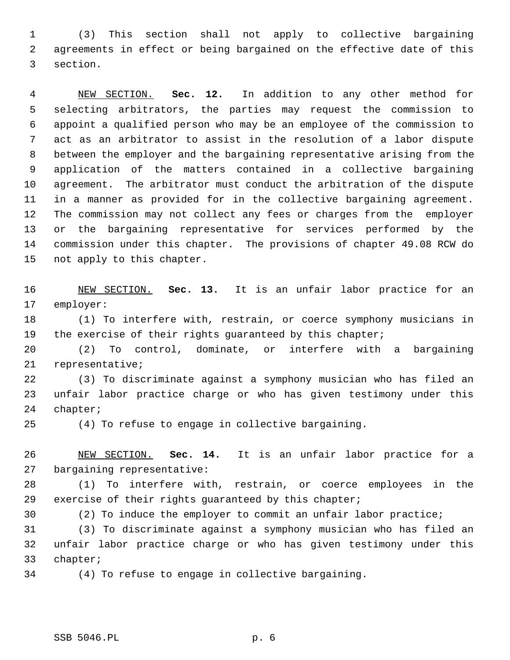1 (3) This section shall not apply to collective bargaining 2 agreements in effect or being bargained on the effective date of this 3 section.

 4 NEW SECTION. **Sec. 12.** In addition to any other method for 5 selecting arbitrators, the parties may request the commission to 6 appoint a qualified person who may be an employee of the commission to 7 act as an arbitrator to assist in the resolution of a labor dispute 8 between the employer and the bargaining representative arising from the 9 application of the matters contained in a collective bargaining 10 agreement. The arbitrator must conduct the arbitration of the dispute 11 in a manner as provided for in the collective bargaining agreement. 12 The commission may not collect any fees or charges from the employer 13 or the bargaining representative for services performed by the 14 commission under this chapter. The provisions of chapter 49.08 RCW do 15 not apply to this chapter.

16 NEW SECTION. **Sec. 13.** It is an unfair labor practice for an 17 employer:

18 (1) To interfere with, restrain, or coerce symphony musicians in 19 the exercise of their rights guaranteed by this chapter;

20 (2) To control, dominate, or interfere with a bargaining 21 representative;

22 (3) To discriminate against a symphony musician who has filed an 23 unfair labor practice charge or who has given testimony under this 24 chapter;

25 (4) To refuse to engage in collective bargaining.

26 NEW SECTION. **Sec. 14.** It is an unfair labor practice for a 27 bargaining representative:

28 (1) To interfere with, restrain, or coerce employees in the 29 exercise of their rights guaranteed by this chapter;

30 (2) To induce the employer to commit an unfair labor practice;

31 (3) To discriminate against a symphony musician who has filed an 32 unfair labor practice charge or who has given testimony under this 33 chapter;

34 (4) To refuse to engage in collective bargaining.